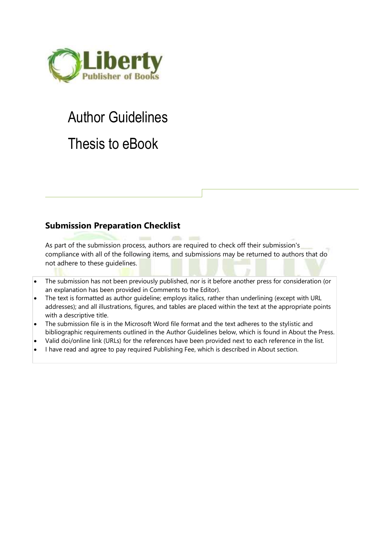

# Author Guidelines Thesis to eBook

# **Submission Preparation Checklist**

As part of the submission process, authors are required to check off their submission's compliance with all of the following items, and submissions may be returned to authors that do not adhere to these guidelines.

- The submission has not been previously published, nor is it before another press for consideration (or an explanation has been provided in Comments to the Editor).
- The text is formatted as author guideline; employs italics, rather than underlining (except with URL addresses); and all illustrations, figures, and tables are placed within the text at the appropriate points with a descriptive title.
- The submission file is in the Microsoft Word file format and the text adheres to the stylistic and bibliographic requirements outlined in the [Author Guidelines](https://books.aijr.org/index.php/press/about/submissions#authorGuidelines) below, which is found in About the Press.
- Valid doi/online link (URLs) for the references have been provided next to each reference in the list.
- I have read and agree to pay required [Publishing Fee,](https://books.aijr.org/index.php/press/about#fee) which is described in About section.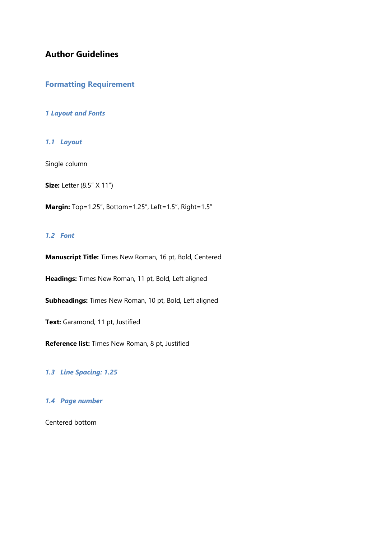# **Author Guidelines**

## **Formatting Requirement**

#### *1 Layout and Fonts*

*1.1 Layout*

Single column

**Size:** Letter (8.5" X 11")

**Margin:** Top=1.25", Bottom=1.25", Left=1.5", Right=1.5"

### *1.2 Font*

**Manuscript Title:** Times New Roman, 16 pt, Bold, Centered

**Headings:** Times New Roman, 11 pt, Bold, Left aligned

**Subheadings:** Times New Roman, 10 pt, Bold, Left aligned

**Text:** Garamond, 11 pt, Justified

**Reference list:** Times New Roman, 8 pt, Justified

*1.3 Line Spacing: 1.25*

#### *1.4 Page number*

Centered bottom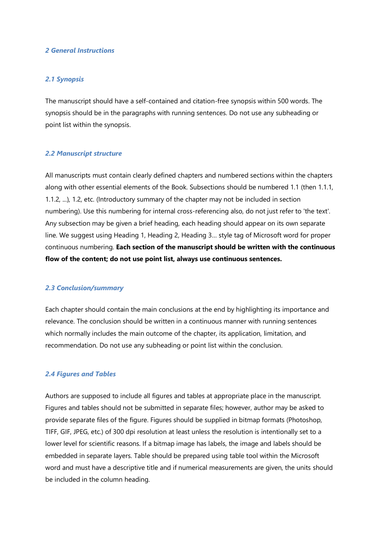#### *2 General Instructions*

#### *2.1 Synopsis*

The manuscript should have a self-contained and citation-free synopsis within 500 words. The synopsis should be in the paragraphs with running sentences. Do not use any subheading or point list within the synopsis.

#### *2.2 Manuscript structure*

All manuscripts must contain clearly defined chapters and numbered sections within the chapters along with other essential elements of the Book. Subsections should be numbered 1.1 (then 1.1.1, 1.1.2, ...), 1.2, etc. (Introductory summary of the chapter may not be included in section numbering). Use this numbering for internal cross-referencing also, do not just refer to 'the text'. Any subsection may be given a brief heading, each heading should appear on its own separate line. We suggest using Heading 1, Heading 2, Heading 3… style tag of Microsoft word for proper continuous numbering. **Each section of the manuscript should be written with the continuous flow of the content; do not use point list, always use continuous sentences.**

#### *2.3 Conclusion/summary*

Each chapter should contain the main conclusions at the end by highlighting its importance and relevance. The conclusion should be written in a continuous manner with running sentences which normally includes the main outcome of the chapter, its application, limitation, and recommendation. Do not use any subheading or point list within the conclusion.

#### *2.4 Figures and Tables*

Authors are supposed to include all figures and tables at appropriate place in the manuscript. Figures and tables should not be submitted in separate files; however, author may be asked to provide separate files of the figure. Figures should be supplied in bitmap formats (Photoshop, TIFF, GIF, JPEG, etc.) of 300 dpi resolution at least unless the resolution is intentionally set to a lower level for scientific reasons. If a bitmap image has labels, the image and labels should be embedded in separate layers. Table should be prepared using table tool within the Microsoft word and must have a descriptive title and if numerical measurements are given, the units should be included in the column heading.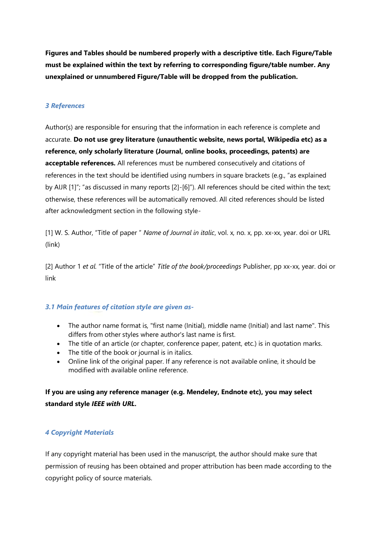**Figures and Tables should be numbered properly with a descriptive title. Each Figure/Table must be explained within the text by referring to corresponding figure/table number. Any unexplained or unnumbered Figure/Table will be dropped from the publication.**

## *3 References*

Author(s) are responsible for ensuring that the information in each reference is complete and accurate. **Do not use grey literature (unauthentic website, news portal, Wikipedia etc) as a reference, only scholarly literature (Journal, online books, proceedings, patents) are acceptable references.** All references must be numbered consecutively and citations of references in the text should be identified using numbers in square brackets (e.g., "as explained by AIJR [1]"; "as discussed in many reports [2]-[6]"). All references should be cited within the text; otherwise, these references will be automatically removed. All cited references should be listed after acknowledgment section in the following style-

[1] W. S. Author, "Title of paper " *Name of Journal in italic*, vol. x, no. x, pp. xx-xx, year. doi or URL (link)

[2] Author 1 *et al.* "Title of the article" *Title of the book/proceedings* Publisher, pp xx-xx, year. doi or link

## *3.1 Main features of citation style are given as-*

- The author name format is, "first name (Initial), middle name (Initial) and last name". This differs from other styles where author's last name is first.
- The title of an article (or chapter, conference paper, patent, etc.) is in quotation marks.
- The title of the book or journal is in italics.
- Online link of the original paper. If any reference is not available online, it should be modified with available online reference.

**If you are using any reference manager (e.g. Mendeley, Endnote etc), you may select standard style** *IEEE with URL.*

## *4 Copyright Materials*

If any copyright material has been used in the manuscript, the author should make sure that permission of reusing has been obtained and proper attribution has been made according to the copyright policy of source materials.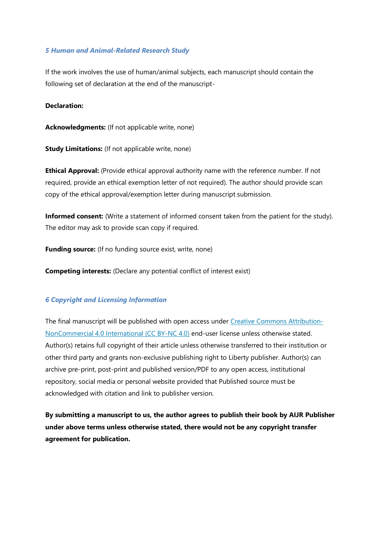#### *5 Human and Animal-Related Research Study*

If the work involves the use of human/animal subjects, each manuscript should contain the following set of declaration at the end of the manuscript-

#### **Declaration:**

**Acknowledgments:** (If not applicable write, none)

**Study Limitations:** (If not applicable write, none)

**Ethical Approval:** (Provide ethical approval authority name with the reference number. If not required, provide an ethical exemption letter of not required). The author should provide scan copy of the ethical approval/exemption letter during manuscript submission.

**Informed consent:** (Write a statement of informed consent taken from the patient for the study). The editor may ask to provide scan copy if required.

**Funding source:** (If no funding source exist, write, none)

**Competing interests:** (Declare any potential conflict of interest exist)

#### *6 Copyright and Licensing Information*

The final manuscript will be published with open access under [Creative Commons Attribution-](https://creativecommons.org/licenses/by-nc/4.0/)[NonCommercial 4.0 International \(CC BY-NC 4.0\)](https://creativecommons.org/licenses/by-nc/4.0/) end-user license unless otherwise stated. Author(s) retains full copyright of their article unless otherwise transferred to their institution or other third party and grants non-exclusive publishing right to Liberty publisher. Author(s) can archive pre-print, post-print and published version/PDF to any open access, institutional repository, social media or personal website provided that Published source must be acknowledged with citation and link to publisher version.

**By submitting a manuscript to us, the author agrees to publish their book by AIJR Publisher under above terms unless otherwise stated, there would not be any copyright transfer agreement for publication.**